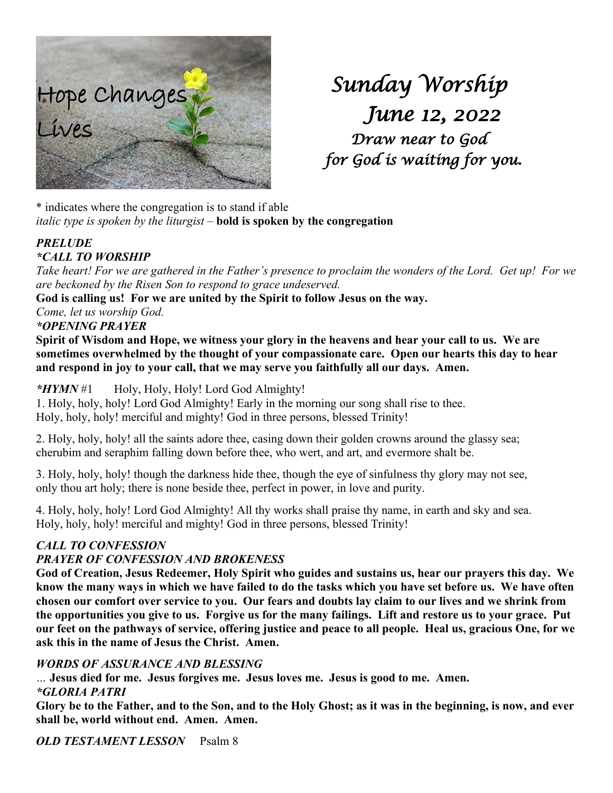

*Sunday Worship June 12, 2022 Draw near to God for God is waiting for you.* 

\* indicates where the congregation is to stand if able *italic type is spoken by the liturgist –* **bold is spoken by the congregation**

### *PRELUDE \*CALL TO WORSHIP*

*Take heart! For we are gathered in the Father's presence to proclaim the wonders of the Lord. Get up! For we are beckoned by the Risen Son to respond to grace undeserved.*

**God is calling us! For we are united by the Spirit to follow Jesus on the way.**

*Come, let us worship God.*

# *\*OPENING PRAYER*

**Spirit of Wisdom and Hope, we witness your glory in the heavens and hear your call to us. We are sometimes overwhelmed by the thought of your compassionate care. Open our hearts this day to hear and respond in joy to your call, that we may serve you faithfully all our days. Amen.**

# *\*HYMN* #1 Holy, Holy, Holy! Lord God Almighty!

1. Holy, holy, holy! Lord God Almighty! Early in the morning our song shall rise to thee. Holy, holy, holy! merciful and mighty! God in three persons, blessed Trinity!

2. Holy, holy, holy! all the saints adore thee, casing down their golden crowns around the glassy sea; cherubim and seraphim falling down before thee, who wert, and art, and evermore shalt be.

3. Holy, holy, holy! though the darkness hide thee, though the eye of sinfulness thy glory may not see, only thou art holy; there is none beside thee, perfect in power, in love and purity.

4. Holy, holy, holy! Lord God Almighty! All thy works shall praise thy name, in earth and sky and sea. Holy, holy, holy! merciful and mighty! God in three persons, blessed Trinity!

# *CALL TO CONFESSION*

# *PRAYER OF CONFESSION AND BROKENESS*

**God of Creation, Jesus Redeemer, Holy Spirit who guides and sustains us, hear our prayers this day. We know the many ways in which we have failed to do the tasks which you have set before us. We have often chosen our comfort over service to you. Our fears and doubts lay claim to our lives and we shrink from the opportunities you give to us. Forgive us for the many failings. Lift and restore us to your grace. Put our feet on the pathways of service, offering justice and peace to all people. Heal us, gracious One, for we ask this in the name of Jesus the Christ. Amen.**

# *WORDS OF ASSURANCE AND BLESSING*

*…* **Jesus died for me. Jesus forgives me. Jesus loves me. Jesus is good to me. Amen.** *\*GLORIA PATRI*

**Glory be to the Father, and to the Son, and to the Holy Ghost; as it was in the beginning, is now, and ever shall be, world without end. Amen. Amen.**

*OLD TESTAMENT LESSON* Psalm 8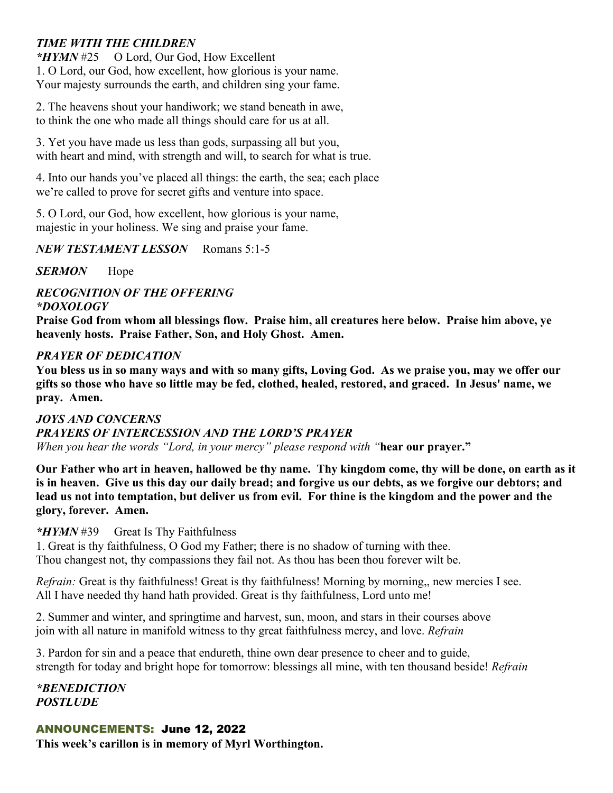# *TIME WITH THE CHILDREN*

*\*HYMN* #25 O Lord, Our God, How Excellent 1. O Lord, our God, how excellent, how glorious is your name. Your majesty surrounds the earth, and children sing your fame.

2. The heavens shout your handiwork; we stand beneath in awe, to think the one who made all things should care for us at all.

3. Yet you have made us less than gods, surpassing all but you, with heart and mind, with strength and will, to search for what is true.

4. Into our hands you've placed all things: the earth, the sea; each place we're called to prove for secret gifts and venture into space.

5. O Lord, our God, how excellent, how glorious is your name, majestic in your holiness. We sing and praise your fame.

#### *NEW TESTAMENT LESSON* Romans 5:1-5

*SERMON* Hope

#### *RECOGNITION OF THE OFFERING \*DOXOLOGY*

**Praise God from whom all blessings flow. Praise him, all creatures here below. Praise him above, ye heavenly hosts. Praise Father, Son, and Holy Ghost. Amen.**

### *PRAYER OF DEDICATION*

**You bless us in so many ways and with so many gifts, Loving God. As we praise you, may we offer our gifts so those who have so little may be fed, clothed, healed, restored, and graced. In Jesus' name, we pray. Amen.**

#### *JOYS AND CONCERNS*

#### *PRAYERS OF INTERCESSION AND THE LORD'S PRAYER*

*When you hear the words "Lord, in your mercy" please respond with "***hear our prayer."**

**Our Father who art in heaven, hallowed be thy name. Thy kingdom come, thy will be done, on earth as it is in heaven. Give us this day our daily bread; and forgive us our debts, as we forgive our debtors; and lead us not into temptation, but deliver us from evil. For thine is the kingdom and the power and the glory, forever. Amen.**

#### *\*HYMN* #39 Great Is Thy Faithfulness

1. Great is thy faithfulness, O God my Father; there is no shadow of turning with thee. Thou changest not, thy compassions they fail not. As thou has been thou forever wilt be.

*Refrain:* Great is thy faithfulness! Great is thy faithfulness! Morning by morning,, new mercies I see. All I have needed thy hand hath provided. Great is thy faithfulness, Lord unto me!

2. Summer and winter, and springtime and harvest, sun, moon, and stars in their courses above join with all nature in manifold witness to thy great faithfulness mercy, and love. *Refrain*

3. Pardon for sin and a peace that endureth, thine own dear presence to cheer and to guide, strength for today and bright hope for tomorrow: blessings all mine, with ten thousand beside! *Refrain*

*\*BENEDICTION POSTLUDE*

### ANNOUNCEMENTS: June 12, 2022

**This week's carillon is in memory of Myrl Worthington.**